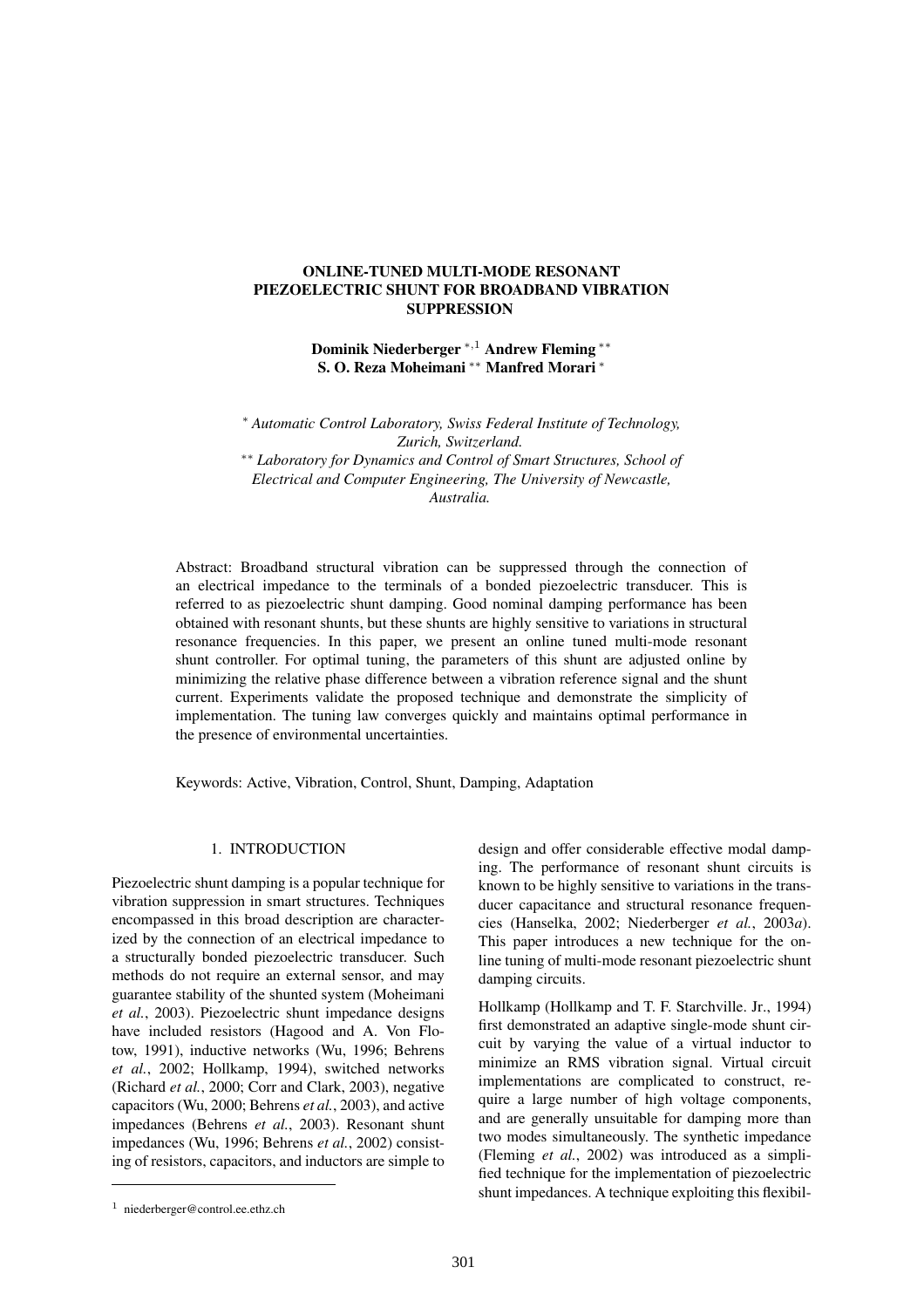# **ONLINE-TUNED MULTI-MODE RESONANT PIEZOELECTRIC SHUNT FOR BROADBAND VIBRATION SUPPRESSION**

**Dominik Niederberger** <sup>∗</sup>,<sup>1</sup> **Andrew Fleming** ∗∗ **S. O. Reza Moheimani** ∗∗ **Manfred Morari** ∗

∗ *Automatic Control Laboratory, Swiss Federal Institute of Technology, Zurich, Switzerland.* ∗∗ *Laboratory for Dynamics and Control of Smart Structures, School of Electrical and Computer Engineering, The University of Newcastle, Australia.*

Abstract: Broadband structural vibration can be suppressed through the connection of an electrical impedance to the terminals of a bonded piezoelectric transducer. This is referred to as piezoelectric shunt damping. Good nominal damping performance has been obtained with resonant shunts, but these shunts are highly sensitive to variations in structural resonance frequencies. In this paper, we present an online tuned multi-mode resonant shunt controller. For optimal tuning, the parameters of this shunt are adjusted online by minimizing the relative phase difference between a vibration reference signal and the shunt current. Experiments validate the proposed technique and demonstrate the simplicity of implementation. The tuning law converges quickly and maintains optimal performance in the presence of environmental uncertainties.

Keywords: Active, Vibration, Control, Shunt, Damping, Adaptation

### 1. INTRODUCTION

Piezoelectric shunt damping is a popular technique for vibration suppression in smart structures. Techniques encompassed in this broad description are characterized by the connection of an electrical impedance to a structurally bonded piezoelectric transducer. Such methods do not require an external sensor, and may guarantee stability of the shunted system (Moheimani *et al.*, 2003). Piezoelectric shunt impedance designs have included resistors (Hagood and A. Von Flotow, 1991), inductive networks (Wu, 1996; Behrens *et al.*, 2002; Hollkamp, 1994), switched networks (Richard *et al.*, 2000; Corr and Clark, 2003), negative capacitors (Wu, 2000; Behrens *et al.*, 2003), and active impedances (Behrens *et al.*, 2003). Resonant shunt impedances (Wu, 1996; Behrens *et al.*, 2002) consisting of resistors, capacitors, and inductors are simple to

design and offer considerable effective modal damping. The performance of resonant shunt circuits is known to be highly sensitive to variations in the transducer capacitance and structural resonance frequencies (Hanselka, 2002; Niederberger *et al.*, 2003*a*). This paper introduces a new technique for the online tuning of multi-mode resonant piezoelectric shunt damping circuits.

Hollkamp (Hollkamp and T. F. Starchville. Jr., 1994) first demonstrated an adaptive single-mode shunt circuit by varying the value of a virtual inductor to minimize an RMS vibration signal. Virtual circuit implementations are complicated to construct, require a large number of high voltage components, and are generally unsuitable for damping more than two modes simultaneously. The synthetic impedance (Fleming *et al.*, 2002) was introduced as a simplified technique for the implementation of piezoelectric shunt impedances. A technique exploiting this flexibil-

<sup>1</sup> niederberger@control.ee.ethz.ch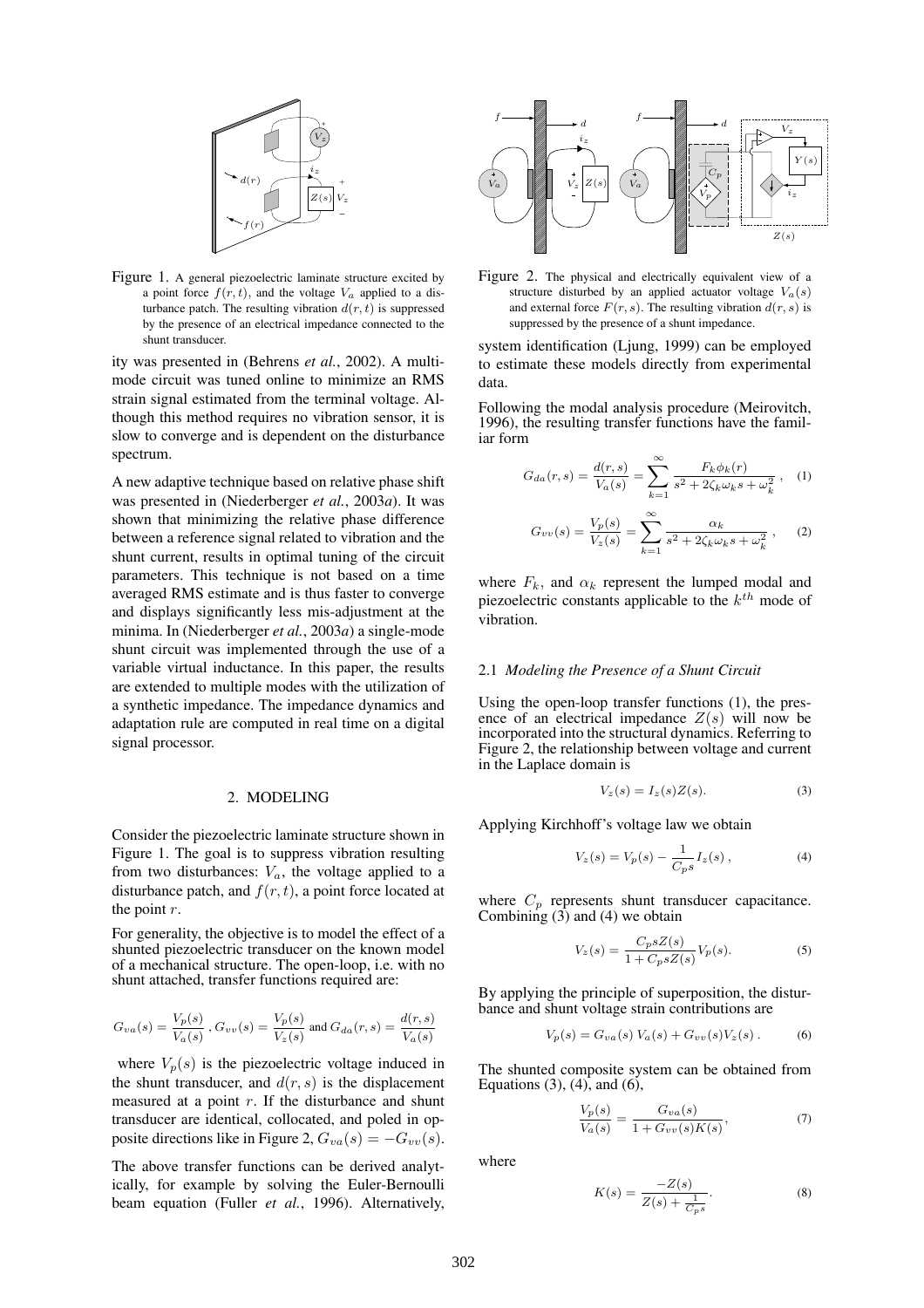

Figure 1. A general piezoelectric laminate structure excited by a point force  $f(r, t)$ , and the voltage  $V_a$  applied to a disturbance patch. The resulting vibration  $d(r, t)$  is suppressed by the presence of an electrical impedance connected to the shunt transducer.

ity was presented in (Behrens *et al.*, 2002). A multimode circuit was tuned online to minimize an RMS strain signal estimated from the terminal voltage. Although this method requires no vibration sensor, it is slow to converge and is dependent on the disturbance spectrum.

A new adaptive technique based on relative phase shift was presented in (Niederberger *et al.*, 2003*a*). It was shown that minimizing the relative phase difference between a reference signal related to vibration and the shunt current, results in optimal tuning of the circuit parameters. This technique is not based on a time averaged RMS estimate and is thus faster to converge and displays significantly less mis-adjustment at the minima. In (Niederberger *et al.*, 2003*a*) a single-mode shunt circuit was implemented through the use of a variable virtual inductance. In this paper, the results are extended to multiple modes with the utilization of a synthetic impedance. The impedance dynamics and adaptation rule are computed in real time on a digital signal processor.

### 2. MODELING

Consider the piezoelectric laminate structure shown in Figure 1. The goal is to suppress vibration resulting from two disturbances:  $V_a$ , the voltage applied to a disturbance patch, and  $f(r, t)$ , a point force located at the point  $r$ .

For generality, the objective is to model the effect of a shunted piezoelectric transducer on the known model of a mechanical structure. The open-loop, i.e. with no shunt attached, transfer functions required are:

$$
G_{va}(s)=\frac{V_p(s)}{V_a(s)}\ , G_{vv}(s)=\frac{V_p(s)}{V_z(s)} \ \text{and} \ G_{da}(r,s)=\frac{d(r,s)}{V_a(s)}
$$

where  $V_p(s)$  is the piezoelectric voltage induced in the shunt transducer, and  $d(r, s)$  is the displacement measured at a point  $r$ . If the disturbance and shunt transducer are identical, collocated, and poled in opposite directions like in Figure 2,  $G_{va}(s) = -G_{vv}(s)$ .

The above transfer functions can be derived analytically, for example by solving the Euler-Bernoulli beam equation (Fuller *et al.*, 1996). Alternatively,



Figure 2. The physical and electrically equivalent view of a structure disturbed by an applied actuator voltage  $V_a(s)$ and external force  $F(r, s)$ . The resulting vibration  $d(r, s)$  is suppressed by the presence of a shunt impedance.

system identification (Ljung, 1999) can be employed to estimate these models directly from experimental data.

Following the modal analysis procedure (Meirovitch, 1996), the resulting transfer functions have the familiar form

$$
G_{da}(r,s) = \frac{d(r,s)}{V_a(s)} = \sum_{k=1}^{\infty} \frac{F_k \phi_k(r)}{s^2 + 2\zeta_k \omega_k s + \omega_k^2}, \quad (1)
$$

$$
G_{vv}(s) = \frac{V_p(s)}{V_z(s)} = \sum_{k=1}^{\infty} \frac{\alpha_k}{s^2 + 2\zeta_k \omega_k s + \omega_k^2},
$$
 (2)

where  $F_k$ , and  $\alpha_k$  represent the lumped modal and piezoelectric constants applicable to the  $k^{th}$  mode of vibration.

### 2.1 *Modeling the Presence of a Shunt Circuit*

Using the open-loop transfer functions (1), the presence of an electrical impedance  $Z(s)$  will now be incorporated into the structural dynamics. Referring to Figure 2, the relationship between voltage and current in the Laplace domain is

$$
V_z(s) = I_z(s)Z(s). \tag{3}
$$

Applying Kirchhoff's voltage law we obtain

$$
V_z(s) = V_p(s) - \frac{1}{C_p s} I_z(s) , \qquad (4)
$$

where  $C_p$  represents shunt transducer capacitance. Combining (3) and (4) we obtain

$$
V_z(s) = \frac{C_p s Z(s)}{1 + C_p s Z(s)} V_p(s).
$$
 (5)

By applying the principle of superposition, the disturbance and shunt voltage strain contributions are

$$
V_p(s) = G_{va}(s) V_a(s) + G_{vv}(s) V_z(s).
$$
 (6)

The shunted composite system can be obtained from Equations  $(3)$ ,  $(4)$ , and  $(6)$ ,

$$
\frac{V_p(s)}{V_a(s)} = \frac{G_{va}(s)}{1 + G_{vv}(s)K(s)},
$$
\n(7)

where

$$
K(s) = \frac{-Z(s)}{Z(s) + \frac{1}{C_{p}s}}.
$$
 (8)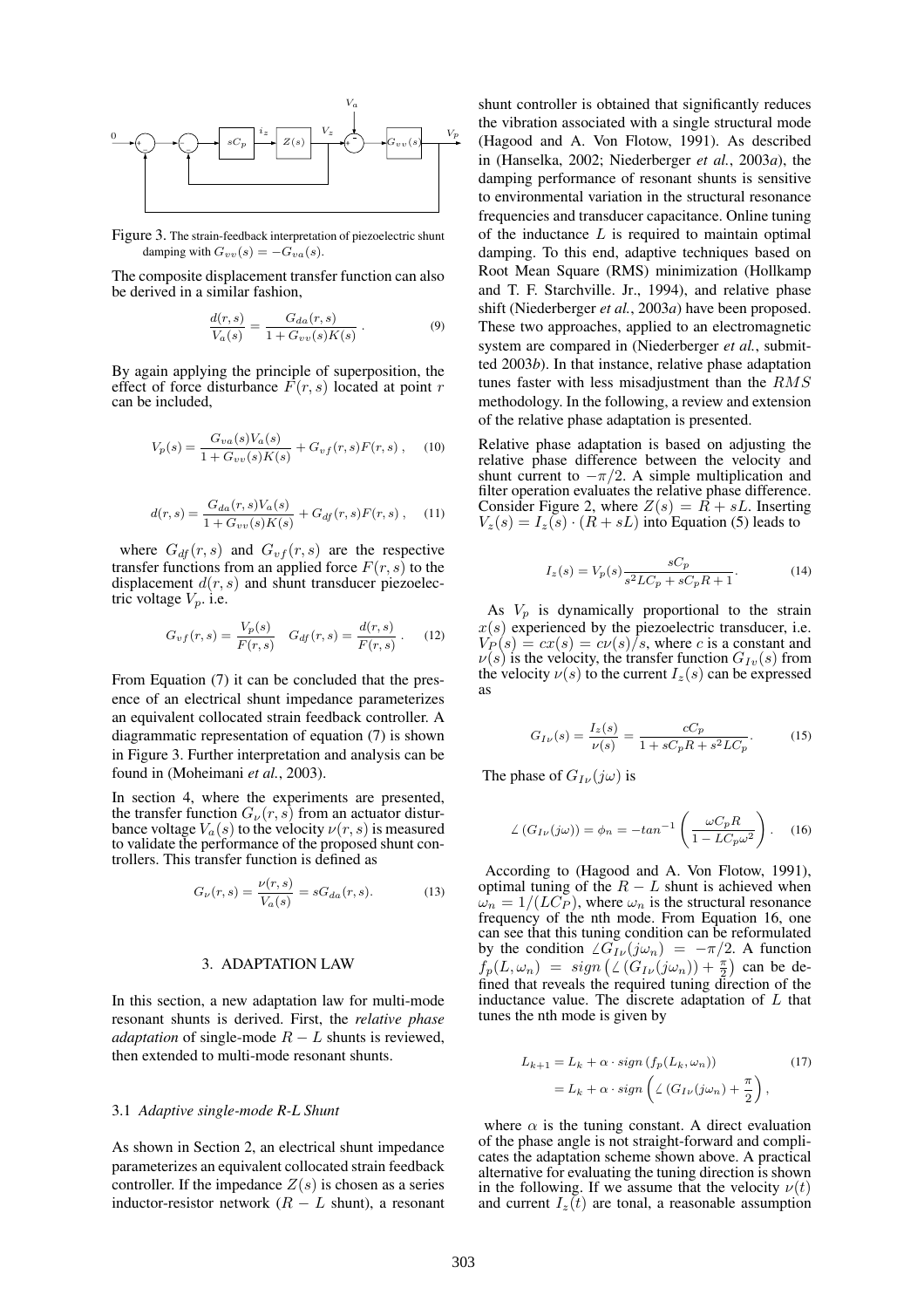

Figure 3. The strain-feedback interpretation of piezoelectric shunt damping with  $G_{vv}(s) = -G_{va}(s)$ .

The composite displacement transfer function can also be derived in a similar fashion,

$$
\frac{d(r,s)}{V_a(s)} = \frac{G_{da}(r,s)}{1 + G_{vv}(s)K(s)}.
$$
\n(9)

By again applying the principle of superposition, the effect of force disturbance  $\overline{F}(r, s)$  located at point r can be included,

$$
V_p(s) = \frac{G_{va}(s)V_a(s)}{1 + G_{vv}(s)K(s)} + G_{vf}(r,s)F(r,s) ,
$$
 (10)

$$
d(r,s) = \frac{G_{da}(r,s)V_a(s)}{1 + G_{vv}(s)K(s)} + G_{df}(r,s)F(r,s), \quad (11)
$$

where  $G_{df}(r, s)$  and  $G_{vf}(r, s)$  are the respective transfer functions from an applied force  $F(r, s)$  to the displacement  $d(r, s)$  and shunt transducer piezoelectric voltage  $V_p$ . i.e.

$$
G_{vf}(r,s) = \frac{V_p(s)}{F(r,s)} \quad G_{df}(r,s) = \frac{d(r,s)}{F(r,s)}.
$$
 (12)

From Equation (7) it can be concluded that the presence of an electrical shunt impedance parameterizes an equivalent collocated strain feedback controller. A diagrammatic representation of equation (7) is shown in Figure 3. Further interpretation and analysis can be found in (Moheimani *et al.*, 2003).

In section 4, where the experiments are presented, the transfer function  $G_{\nu}(r, s)$  from an actuator disturbance voltage  $V_a(s)$  to the velocity  $\nu(r, s)$  is measured to validate the performance of the proposed shunt controllers. This transfer function is defined as

$$
G_{\nu}(r,s) = \frac{\nu(r,s)}{V_a(s)} = sG_{da}(r,s).
$$
 (13)

### 3. ADAPTATION LAW

In this section, a new adaptation law for multi-mode resonant shunts is derived. First, the *relative phase adaptation* of single-mode  $R - L$  shunts is reviewed, then extended to multi-mode resonant shunts.

### 3.1 *Adaptive single-mode R-L Shunt*

As shown in Section 2, an electrical shunt impedance parameterizes an equivalent collocated strain feedback controller. If the impedance  $Z(s)$  is chosen as a series inductor-resistor network  $(R - L)$  shunt), a resonant shunt controller is obtained that significantly reduces the vibration associated with a single structural mode (Hagood and A. Von Flotow, 1991). As described in (Hanselka, 2002; Niederberger *et al.*, 2003*a*), the damping performance of resonant shunts is sensitive to environmental variation in the structural resonance frequencies and transducer capacitance. Online tuning of the inductance  $L$  is required to maintain optimal damping. To this end, adaptive techniques based on Root Mean Square (RMS) minimization (Hollkamp and T. F. Starchville. Jr., 1994), and relative phase shift (Niederberger *et al.*, 2003*a*) have been proposed. These two approaches, applied to an electromagnetic system are compared in (Niederberger *et al.*, submitted 2003*b*). In that instance, relative phase adaptation tunes faster with less misadjustment than the RMS methodology. In the following, a review and extension of the relative phase adaptation is presented.

Relative phase adaptation is based on adjusting the relative phase difference between the velocity and shunt current to  $-\pi/2$ . A simple multiplication and filter operation evaluates the relative phase difference. Consider Figure 2, where  $Z(s) = \overrightarrow{R} + sL$ . Inserting  $V_z(s) = I_z(s) \cdot (R + sL)$  into Equation (5) leads to

$$
I_z(s) = V_p(s) \frac{sC_p}{s^2 LC_p + sC_p R + 1}.
$$
 (14)

As  $V_p$  is dynamically proportional to the strain  $x(s)$  experienced by the piezoelectric transducer, i.e.  $V_P(s) = cx(s) = cv(s)/s$ , where c is a constant and  $v(s)$  is the velocity, the transfer function  $G_{Iv}(s)$  from the velocity  $\nu(s)$  to the current  $I_z(s)$  can be expressed as

$$
G_{I\nu}(s) = \frac{I_z(s)}{\nu(s)} = \frac{cC_p}{1 + sC_pR + s^2LC_p}.
$$
 (15)

The phase of  $G_{I\nu}(i\omega)$  is

$$
\angle (G_{I\nu}(j\omega)) = \phi_n = -\tan^{-1}\left(\frac{\omega C_p R}{1 - LC_p \omega^2}\right). \quad (16)
$$

According to (Hagood and A. Von Flotow, 1991), optimal tuning of the  $R - L$  shunt is achieved when  $\omega_n = 1/(LC_P)$ , where  $\omega_n$  is the structural resonance frequency of the nth mode. From Equation 16, one can see that this tuning condition can be reformulated by the condition  $\angle G_{I\nu}(j\omega_n) = -\pi/2$ . A function  $f_p(L, \omega_n) = sign\left(\angle(G_{I\nu}(j\omega_n)) + \frac{\pi}{2}\right)$  can be defined that reveals the required tuning direction of the inductance value. The discrete adaptation of  $L$  that tunes the nth mode is given by

$$
L_{k+1} = L_k + \alpha \cdot sign\left(f_p(L_k, \omega_n)\right) \tag{17}
$$

$$
= L_k + \alpha \cdot sign\left(\angle\left(G_{I\nu}(j\omega_n)\right) + \frac{\pi}{2}\right),
$$

where  $\alpha$  is the tuning constant. A direct evaluation of the phase angle is not straight-forward and complicates the adaptation scheme shown above. A practical alternative for evaluating the tuning direction is shown in the following. If we assume that the velocity  $\nu(t)$ and current  $I_z(t)$  are tonal, a reasonable assumption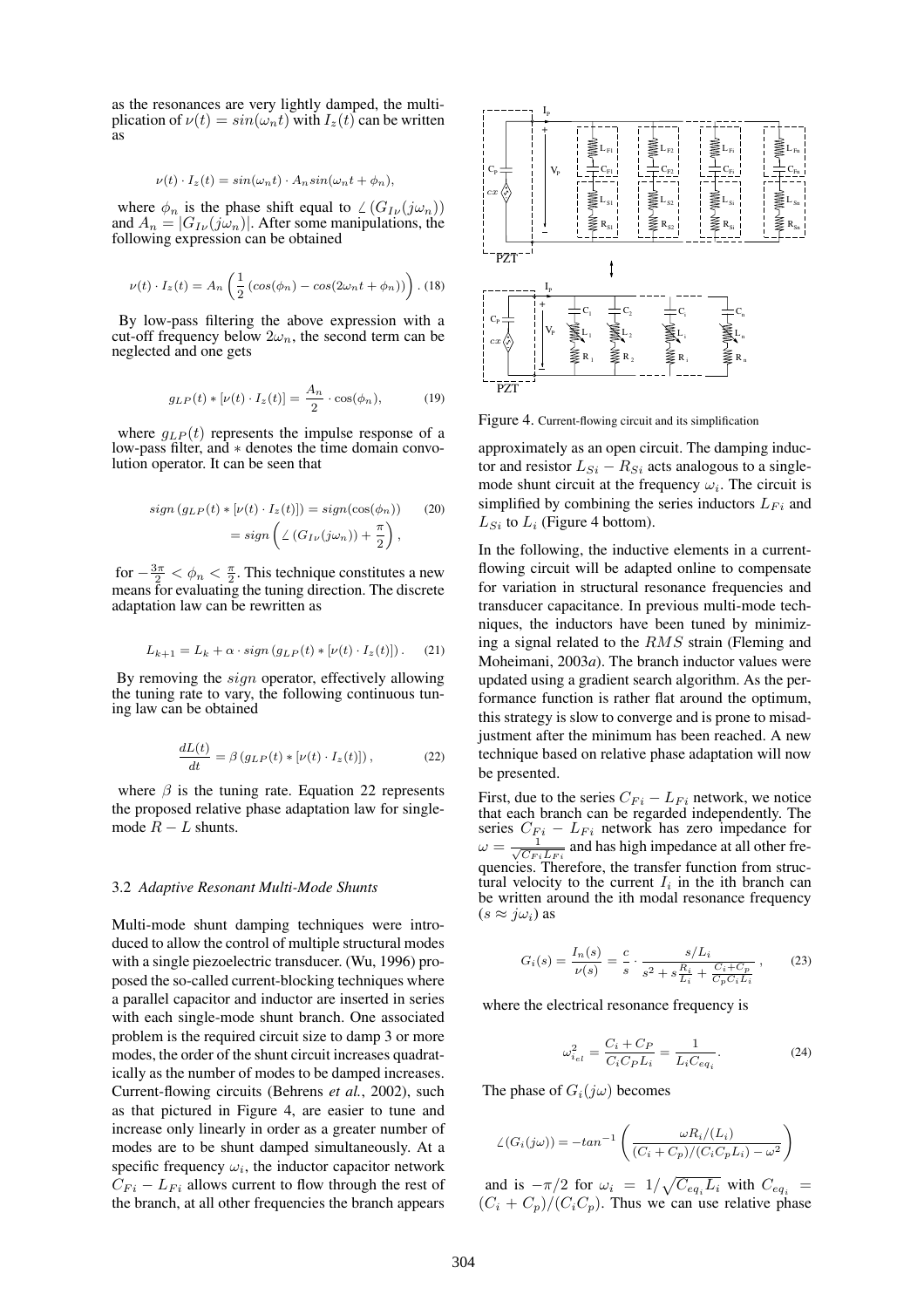as the resonances are very lightly damped, the multiplication of  $v(t) = sin(\omega_n t)$  with  $I_z(t)$  can be written as

$$
\nu(t) \cdot I_z(t) = \sin(\omega_n t) \cdot A_n \sin(\omega_n t + \phi_n),
$$

where  $\phi_n$  is the phase shift equal to  $\angle(G_{I\nu}(j\omega_n))$ and  $A_n = |G_{I\nu}(j\omega_n)|$ . After some manipulations, the following expression can be obtained

$$
\nu(t) \cdot I_z(t) = A_n \left( \frac{1}{2} \left( \cos(\phi_n) - \cos(2\omega_n t + \phi_n) \right) \right).
$$
 (18)

By low-pass filtering the above expression with a cut-off frequency below  $2\omega_n$ , the second term can be neglected and one gets

$$
g_{LP}(t) * [\nu(t) \cdot I_z(t)] = \frac{A_n}{2} \cdot \cos(\phi_n), \tag{19}
$$

where  $g_{LP}(t)$  represents the impulse response of a low-pass filter, and ∗ denotes the time domain convolution operator. It can be seen that

$$
sign (g_{LP}(t) * [\nu(t) \cdot I_z(t)]) = sign(cos(\phi_n))
$$
  
= sign  $\left( \angle (G_{I\nu}(j\omega_n)) + \frac{\pi}{2} \right)$ , (20)

for  $-\frac{3\pi}{2} < \phi_n < \frac{\pi}{2}$ . This technique constitutes a new means for evaluating the tuning direction. The discrete adaptation law can be rewritten as

$$
L_{k+1} = L_k + \alpha \cdot sign\left(g_{LP}(t) * [\nu(t) \cdot I_z(t)]\right). \tag{21}
$$

By removing the  $sign$  operator, effectively allowing the tuning rate to vary, the following continuous tuning law can be obtained

$$
\frac{dL(t)}{dt} = \beta \left( g_{LP}(t) * [\nu(t) \cdot I_z(t)] \right),\tag{22}
$$

where  $\beta$  is the tuning rate. Equation 22 represents the proposed relative phase adaptation law for singlemode  $R - L$  shunts.

#### 3.2 *Adaptive Resonant Multi-Mode Shunts*

Multi-mode shunt damping techniques were introduced to allow the control of multiple structural modes with a single piezoelectric transducer. (Wu, 1996) proposed the so-called current-blocking techniques where a parallel capacitor and inductor are inserted in series with each single-mode shunt branch. One associated problem is the required circuit size to damp 3 or more modes, the order of the shunt circuit increases quadratically as the number of modes to be damped increases. Current-flowing circuits (Behrens *et al.*, 2002), such as that pictured in Figure 4, are easier to tune and increase only linearly in order as a greater number of modes are to be shunt damped simultaneously. At a specific frequency  $\omega_i$ , the inductor capacitor network  $C_{Fi} - L_{Fi}$  allows current to flow through the rest of the branch, at all other frequencies the branch appears



Figure 4. Current-flowing circuit and its simplification

approximately as an open circuit. The damping inductor and resistor  $L_{Si} - R_{Si}$  acts analogous to a singlemode shunt circuit at the frequency  $\omega_i$ . The circuit is simplified by combining the series inductors  $L_{Fi}$  and  $L_{Si}$  to  $L_i$  (Figure 4 bottom).

In the following, the inductive elements in a currentflowing circuit will be adapted online to compensate for variation in structural resonance frequencies and transducer capacitance. In previous multi-mode techniques, the inductors have been tuned by minimizing a signal related to the RMS strain (Fleming and Moheimani, 2003*a*). The branch inductor values were updated using a gradient search algorithm. As the performance function is rather flat around the optimum, this strategy is slow to converge and is prone to misadjustment after the minimum has been reached. A new technique based on relative phase adaptation will now be presented.

First, due to the series  $C_{Fi} - L_{Fi}$  network, we notice that each branch can be regarded independently. The series  $C_{Fi} - L_{Fi}$  network has zero impedance for  $\omega = \frac{1}{\sqrt{C_{Fi}L_{Fi}}}$  and has high impedance at all other frequencies. Therefore, the transfer function from structural velocity to the current  $I_i$  in the ith branch can be written around the ith modal resonance frequency  $(s \approx j\omega_i)$  as

$$
G_i(s) = \frac{I_n(s)}{\nu(s)} = \frac{c}{s} \cdot \frac{s/L_i}{s^2 + s\frac{R_i}{L_i} + \frac{C_i + C_p}{C_p C_i L_i}},
$$
(23)

where the electrical resonance frequency is

$$
\omega_{i_{el}}^2 = \frac{C_i + C_P}{C_i C_P L_i} = \frac{1}{L_i C_{eq_i}}.
$$
\n(24)

The phase of  $G_i(j\omega)$  becomes

$$
\angle(G_i(j\omega)) = -\tan^{-1}\left(\frac{\omega R_i/(L_i)}{(C_i + C_p)/(C_i C_p L_i) - \omega^2}\right)
$$

and is  $-\pi/2$  for  $\omega_i = 1/\sqrt{C_{eq_i}L_i}$  with  $C_{eq_i}$  =  $(C_i + C_p)/(C_i C_p)$ . Thus we can use relative phase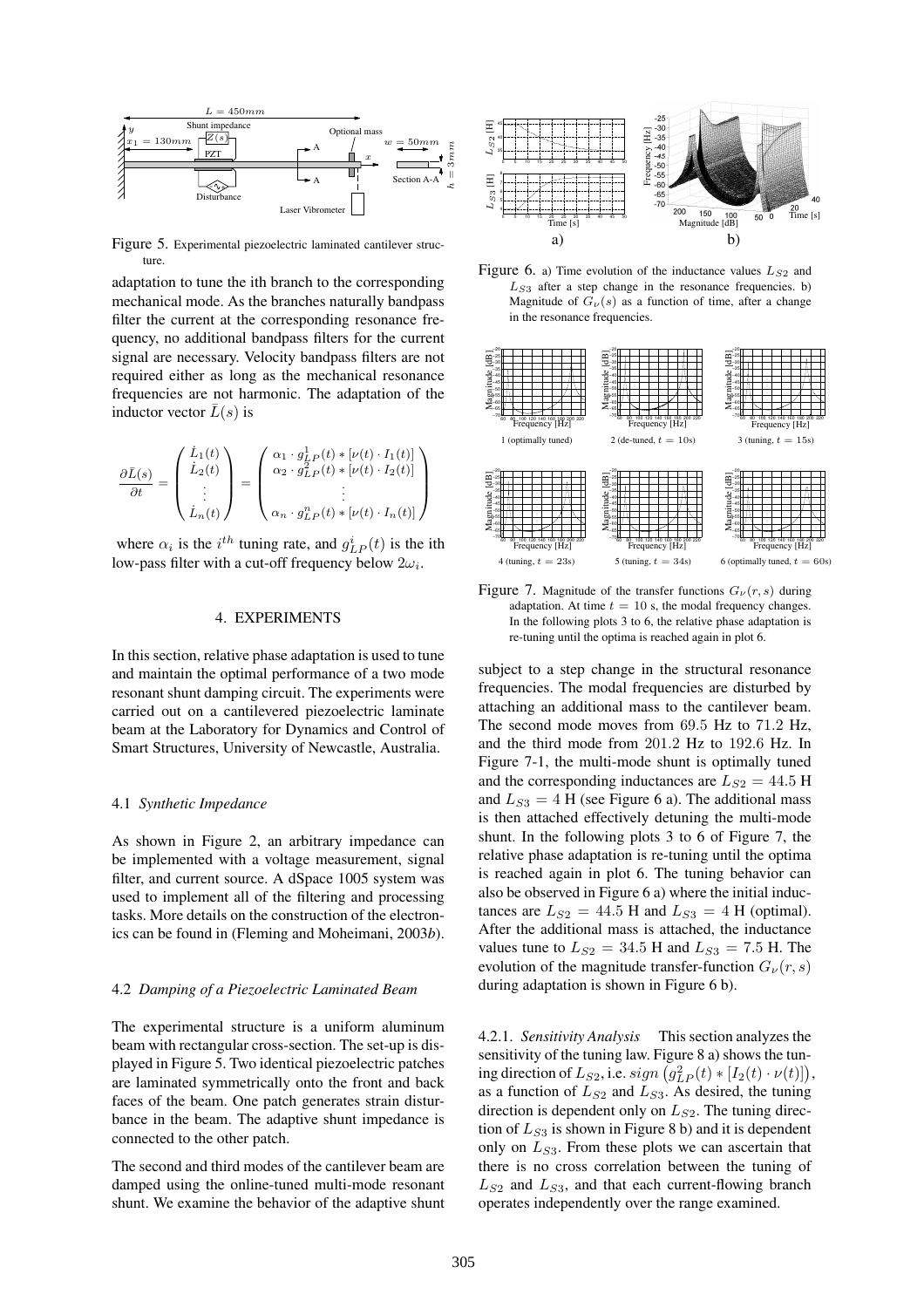

Figure 5. Experimental piezoelectric laminated cantilever structure.

adaptation to tune the ith branch to the corresponding mechanical mode. As the branches naturally bandpass filter the current at the corresponding resonance frequency, no additional bandpass filters for the current signal are necessary. Velocity bandpass filters are not required either as long as the mechanical resonance frequencies are not harmonic. The adaptation of the inductor vector  $L(s)$  is

$$
\frac{\partial \bar{L}(s)}{\partial t} = \begin{pmatrix} \dot{L}_1(t) \\ \dot{L}_2(t) \\ \vdots \\ \dot{L}_n(t) \end{pmatrix} = \begin{pmatrix} \alpha_1 \cdot g_{LP}^1(t) * [\nu(t) \cdot I_1(t)] \\ \alpha_2 \cdot g_{LP}^2(t) * [\nu(t) \cdot I_2(t)] \\ \vdots \\ \alpha_n \cdot g_{LP}^n(t) * [\nu(t) \cdot I_n(t)] \end{pmatrix}
$$

where  $\alpha_i$  is the  $i^{th}$  tuning rate, and  $g_{LP}^i(t)$  is the ith low-pass filter with a cut-off frequency below  $2\omega_i$ .

### 4. EXPERIMENTS

In this section, relative phase adaptation is used to tune and maintain the optimal performance of a two mode resonant shunt damping circuit. The experiments were carried out on a cantilevered piezoelectric laminate beam at the Laboratory for Dynamics and Control of Smart Structures, University of Newcastle, Australia.

### 4.1 *Synthetic Impedance*

As shown in Figure 2, an arbitrary impedance can be implemented with a voltage measurement, signal filter, and current source. A dSpace 1005 system was used to implement all of the filtering and processing tasks. More details on the construction of the electronics can be found in (Fleming and Moheimani, 2003*b*).

### 4.2 *Damping of a Piezoelectric Laminated Beam*

The experimental structure is a uniform aluminum beam with rectangular cross-section. The set-up is displayed in Figure 5. Two identical piezoelectric patches are laminated symmetrically onto the front and back faces of the beam. One patch generates strain disturbance in the beam. The adaptive shunt impedance is connected to the other patch.

The second and third modes of the cantilever beam are damped using the online-tuned multi-mode resonant shunt. We examine the behavior of the adaptive shunt



Figure 6. a) Time evolution of the inductance values  $L_{S2}$  and  $L_{S3}$  after a step change in the resonance frequencies. b) Magnitude of  $G_{\nu}(s)$  as a function of time, after a change in the resonance frequencies.



Figure 7. Magnitude of the transfer functions  $G_{\nu}(r, s)$  during adaptation. At time  $t = 10$  s, the modal frequency changes. In the following plots 3 to 6, the relative phase adaptation is re-tuning until the optima is reached again in plot 6.

subject to a step change in the structural resonance frequencies. The modal frequencies are disturbed by attaching an additional mass to the cantilever beam. The second mode moves from 69.5 Hz to 71.2 Hz, and the third mode from 201.2 Hz to 192.6 Hz. In Figure 7-1, the multi-mode shunt is optimally tuned and the corresponding inductances are  $L_{S2} = 44.5$  H and  $L_{S3} = 4$  H (see Figure 6 a). The additional mass is then attached effectively detuning the multi-mode shunt. In the following plots 3 to 6 of Figure 7, the relative phase adaptation is re-tuning until the optima is reached again in plot 6. The tuning behavior can also be observed in Figure 6 a) where the initial inductances are  $L_{S2} = 44.5$  H and  $L_{S3} = 4$  H (optimal). After the additional mass is attached, the inductance values tune to  $L_{S2} = 34.5$  H and  $L_{S3} = 7.5$  H. The evolution of the magnitude transfer-function  $G_{\nu}(r, s)$ during adaptation is shown in Figure 6 b).

4.2.1. *Sensitivity Analysis* This section analyzes the sensitivity of the tuning law. Figure 8 a) shows the tuning direction of  $L_{S2}$ , i.e.  $sign\left(g_{LP}^2(t) * [I_2(t) \cdot \nu(t)]\right)$ , as a function of  $L_{S2}$  and  $L_{S3}$ . As desired, the tuning direction is dependent only on  $L_{S2}$ . The tuning direction of  $L_{S3}$  is shown in Figure 8 b) and it is dependent only on  $L_{S3}$ . From these plots we can ascertain that there is no cross correlation between the tuning of  $L_{S2}$  and  $L_{S3}$ , and that each current-flowing branch operates independently over the range examined.